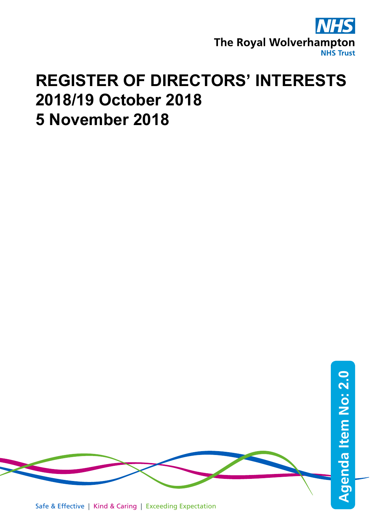

## **REGISTER OF DIRECTORS' INTERESTS 2018/19 October 2018 5 November 2018**



Safe & Effective | Kind & Caring | Exceeding Expectation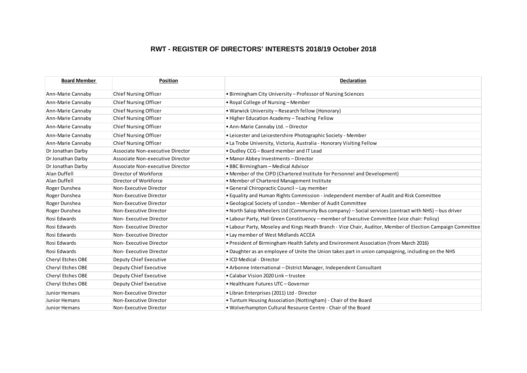## **RWT - REGISTER OF DIRECTORS' INTERESTS 2018/19 October 2018**

| <b>Board Member</b> | <b>Position</b>                  | <b>Declaration</b>                                                                                          |
|---------------------|----------------------------------|-------------------------------------------------------------------------------------------------------------|
| Ann-Marie Cannaby   | Chief Nursing Officer            | • Birmingham City University – Professor of Nursing Sciences                                                |
| Ann-Marie Cannaby   | <b>Chief Nursing Officer</b>     | • Royal College of Nursing – Member                                                                         |
| Ann-Marie Cannaby   | <b>Chief Nursing Officer</b>     | • Warwick University – Research fellow (Honorary)                                                           |
| Ann-Marie Cannaby   | <b>Chief Nursing Officer</b>     | . Higher Education Academy - Teaching Fellow                                                                |
| Ann-Marie Cannaby   | <b>Chief Nursing Officer</b>     | • Ann-Marie Cannaby Ltd. - Director                                                                         |
| Ann-Marie Cannaby   | <b>Chief Nursing Officer</b>     | • Leicester and Leicestershire Photographic Society - Member                                                |
| Ann-Marie Cannaby   | <b>Chief Nursing Officer</b>     | • La Trobe University, Victoria, Australia - Honorary Visiting Fellow                                       |
| Dr Jonathan Darby   | Associate Non-executive Director | . Dudley CCG - Board member and IT Lead                                                                     |
| Dr Jonathan Darby   | Associate Non-executive Director | • Manor Abbey Investments - Director                                                                        |
| Dr Jonathan Darby   | Associate Non-executive Director | • BBC Birmingham - Medical Advisor                                                                          |
| Alan Duffell        | Director of Workforce            | • Member of the CIPD (Chartered Institute for Personnel and Development)                                    |
| Alan Duffell        | Director of Workforce            | . Member of Chartered Management Institute                                                                  |
| Roger Dunshea       | Non-Executive Director           | • General Chiropractic Council – Lay member                                                                 |
| Roger Dunshea       | Non-Executive Director           | . Equality and Human Rights Commission - independent member of Audit and Risk Committee                     |
| Roger Dunshea       | Non-Executive Director           | • Geological Society of London - Member of Audit Committee                                                  |
| Roger Dunshea       | Non-Executive Director           | • North Salop Wheelers Ltd (Community Bus company) – Social services (contract with NHS) – bus driver       |
| Rosi Edwards        | Non-Executive Director           | • Labour Party, Hall Green Constituency – member of Executive Committee (vice chair: Policy)                |
| Rosi Edwards        | Non-Executive Director           | . Labour Party, Moseley and Kings Heath Branch - Vice Chair, Auditor, Member of Election Campaign Committee |
| Rosi Edwards        | Non-Executive Director           | • Lay member of West Midlands ACCEA                                                                         |
| Rosi Edwards        | Non-Executive Director           | . President of Birmingham Health Safety and Environment Association (from March 2016)                       |
| Rosi Edwards        | Non-Executive Director           | . Daughter as an employee of Unite the Union takes part in union campaigning, including on the NHS          |
| Cheryl Etches OBE   | Deputy Chief Executive           | • ICD Medical - Director                                                                                    |
| Cheryl Etches OBE   | Deputy Chief Executive           | • Arbonne International – District Manager, Independent Consultant                                          |
| Cheryl Etches OBE   | Deputy Chief Executive           | • Calabar Vision 2020 Link - trustee                                                                        |
| Cheryl Etches OBE   | Deputy Chief Executive           | • Healthcare Futures UTC - Governor                                                                         |
| Junior Hemans       | Non-Executive Director           | • Libran Enterprises (2011) Ltd - Director                                                                  |
| Junior Hemans       | Non-Executive Director           | • Tuntum Housing Association (Nottingham) - Chair of the Board                                              |
| Junior Hemans       | Non-Executive Director           | . Wolverhampton Cultural Resource Centre - Chair of the Board                                               |